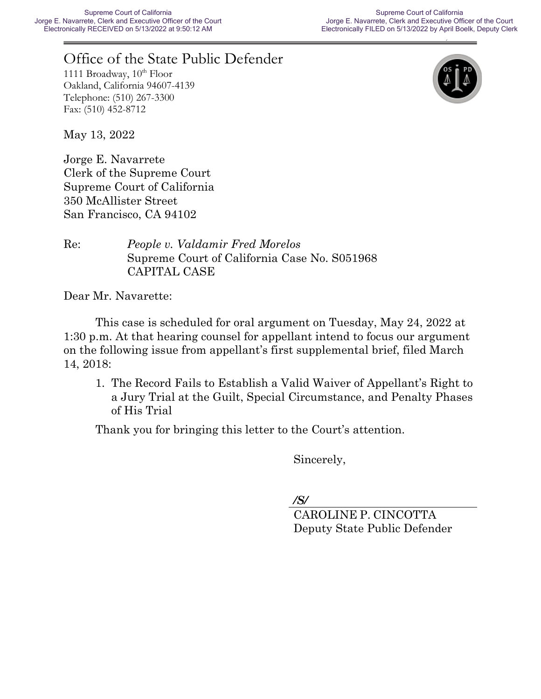# Office of the State Public Defender

1111 Broadway,  $10^{th}$  Floor Oakland, California 94607-4139 Telephone: (510) 267-3300 Fax: (510) 452-8712



May 13, 2022

Jorge E. Navarrete Clerk of the Supreme Court Supreme Court of California 350 McAllister Street San Francisco, CA 94102

Re: *People v. Valdamir Fred Morelos* Supreme Court of California Case No. S051968 CAPITAL CASE

Dear Mr. Navarette:

This case is scheduled for oral argument on Tuesday, May 24, 2022 at 1:30 p.m. At that hearing counsel for appellant intend to focus our argument on the following issue from appellant's first supplemental brief, filed March 14, 2018:

State of California Gavin Newsom, *Governor*

1. The Record Fails to Establish a Valid Waiver of Appellant's Right to a Jury Trial at the Guilt, Special Circumstance, and Penalty Phases of His Trial

Thank you for bringing this letter to the Court's attention.

Sincerely,

*/S/*

CAROLINE P. CINCOTTA Deputy State Public Defender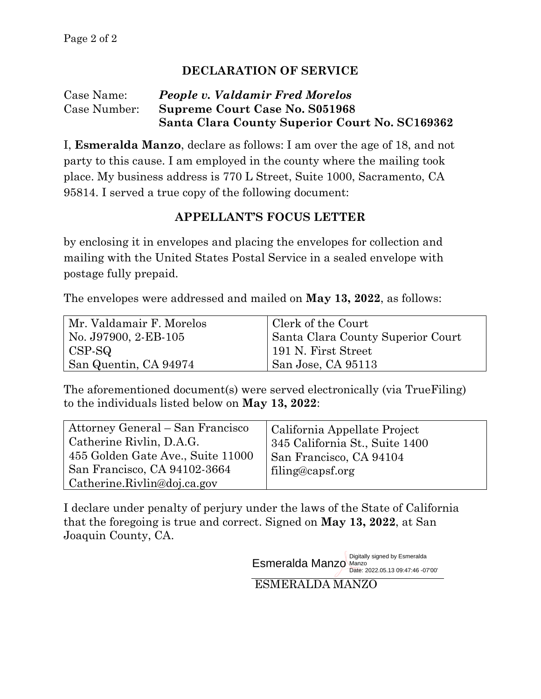## **DECLARATION OF SERVICE**

### Case Name: *People v. Valdamir Fred Morelos* Case Number: **Supreme Court Case No. S051968 Santa Clara County Superior Court No. SC169362**

I, **Esmeralda Manzo**, declare as follows: I am over the age of 18, and not party to this cause. I am employed in the county where the mailing took place. My business address is 770 L Street, Suite 1000, Sacramento, CA 95814. I served a true copy of the following document:

## **APPELLANT'S FOCUS LETTER**

by enclosing it in envelopes and placing the envelopes for collection and mailing with the United States Postal Service in a sealed envelope with postage fully prepaid.

The envelopes were addressed and mailed on **May 13, 2022**, as follows:

| Mr. Valdamair F. Morelos | Clerk of the Court                |
|--------------------------|-----------------------------------|
| No. J97900, 2-EB-105     | Santa Clara County Superior Court |
| CSP-SQ                   | 191 N. First Street               |
| San Quentin, CA 94974    | San Jose, CA 95113                |

The aforementioned document(s) were served electronically (via TrueFiling) to the individuals listed below on **May 13, 2022**:

| Attorney General – San Francisco<br>Catherine Rivlin, D.A.G.<br>455 Golden Gate Ave., Suite 11000 | California Appellate Project<br>345 California St., Suite 1400<br>San Francisco, CA 94104 |
|---------------------------------------------------------------------------------------------------|-------------------------------------------------------------------------------------------|
| San Francisco, CA 94102-3664                                                                      | filing@capsf.org                                                                          |
| Catherine.Rivlin@doj.ca.gov                                                                       |                                                                                           |

I declare under penalty of perjury under the laws of the State of California that the foregoing is true and correct. Signed on **May 13, 2022**, at San Joaquin County, CA.